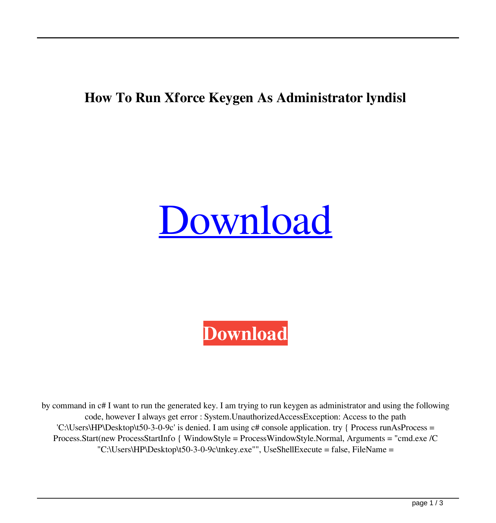## **How To Run Xforce Keygen As Administrator lyndisl**

## [Download](http://evacdir.com/abacus/aG93IHRvIHJ1biB4Zm9yY2Uga2V5Z2VuIGFzIGFkbWluaXN0cmF0b3IaG9/bryson/release/bingeing/ZG93bmxvYWR8Wmg2TVRadmVYeDhNVFkxTWpRMk16QTFNSHg4TWpVM05IeDhLRTBwSUhKbFlXUXRZbXh2WnlCYlJtRnpkQ0JIUlU1ZA?encyclopaedia)

**[Download](http://evacdir.com/abacus/aG93IHRvIHJ1biB4Zm9yY2Uga2V5Z2VuIGFzIGFkbWluaXN0cmF0b3IaG9/bryson/release/bingeing/ZG93bmxvYWR8Wmg2TVRadmVYeDhNVFkxTWpRMk16QTFNSHg4TWpVM05IeDhLRTBwSUhKbFlXUXRZbXh2WnlCYlJtRnpkQ0JIUlU1ZA?encyclopaedia)**

by command in c# I want to run the generated key. I am trying to run keygen as administrator and using the following code, however I always get error : System.UnauthorizedAccessException: Access to the path 'C:\Users\HP\Desktop\t50-3-0-9c' is denied. I am using c# console application. try { Process runAsProcess = Process.Start(new ProcessStartInfo { WindowStyle = ProcessWindowStyle.Normal, Arguments = "cmd.exe /C "C:\Users\HP\Desktop\t50-3-0-9c\tnkey.exe"", UseShellExecute = false, FileName =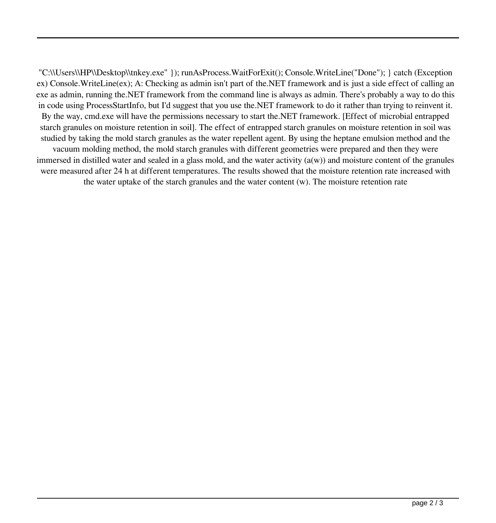"C:\\Users\\HP\\Desktop\\tnkey.exe" }); runAsProcess.WaitForExit(); Console.WriteLine("Done"); } catch (Exception ex) Console.WriteLine(ex); A: Checking as admin isn't part of the.NET framework and is just a side effect of calling an exe as admin, running the.NET framework from the command line is always as admin. There's probably a way to do this in code using ProcessStartInfo, but I'd suggest that you use the.NET framework to do it rather than trying to reinvent it. By the way, cmd.exe will have the permissions necessary to start the.NET framework. [Effect of microbial entrapped starch granules on moisture retention in soil]. The effect of entrapped starch granules on moisture retention in soil was studied by taking the mold starch granules as the water repellent agent. By using the heptane emulsion method and the vacuum molding method, the mold starch granules with different geometries were prepared and then they were immersed in distilled water and sealed in a glass mold, and the water activity  $(a(w))$  and moisture content of the granules were measured after 24 h at different temperatures. The results showed that the moisture retention rate increased with the water uptake of the starch granules and the water content (w). The moisture retention rate